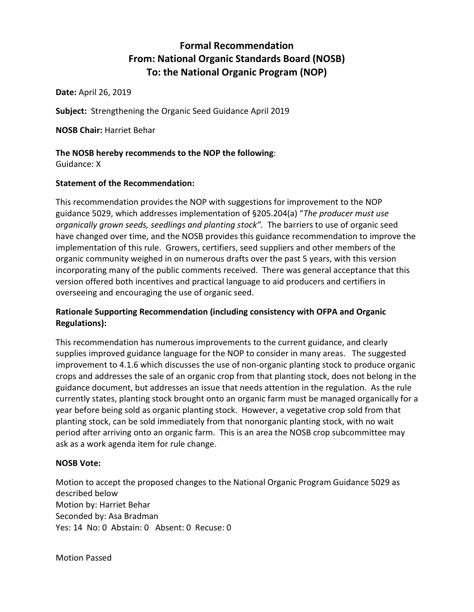# **Formal Recommendation From: National Organic Standards Board (NOSB) To: the National Organic Program (NOP)**

**Date:** April 26, 2019

**Subject:** Strengthening the Organic Seed Guidance April 2019

**NOSB Chair:** Harriet Behar

## **The NOSB hereby recommends to the NOP the following**:

Guidance: X

## **Statement of the Recommendation:**

This recommendation provides the NOP with suggestions for improvement to the NOP guidance 5029, which addresses implementation of §205.204(a) "*The producer must use organically grown seeds, seedlings and planting stock".* The barriers to use of organic seed have changed over time, and the NOSB provides this guidance recommendation to improve the implementation of this rule. Growers, certifiers, seed suppliers and other members of the organic community weighed in on numerous drafts over the past 5 years, with this version incorporating many of the public comments received. There was general acceptance that this version offered both incentives and practical language to aid producers and certifiers in overseeing and encouraging the use of organic seed.

## **Rationale Supporting Recommendation (including consistency with OFPA and Organic Regulations):**

This recommendation has numerous improvements to the current guidance, and clearly supplies improved guidance language for the NOP to consider in many areas. The suggested improvement to 4.1.6 which discusses the use of non-organic planting stock to produce organic crops and addresses the sale of an organic crop from that planting stock, does not belong in the guidance document, but addresses an issue that needs attention in the regulation. As the rule currently states, planting stock brought onto an organic farm must be managed organically for a year before being sold as organic planting stock. However, a vegetative crop sold from that planting stock, can be sold immediately from that nonorganic planting stock, with no wait period after arriving onto an organic farm. This is an area the NOSB crop subcommittee may ask as a work agenda item for rule change.

## **NOSB Vote:**

Motion to accept the proposed changes to the National Organic Program Guidance 5029 as described below Motion by: Harriet Behar Seconded by: Asa Bradman Yes: 14 No: 0 Abstain: 0 Absent: 0 Recuse: 0

Motion Passed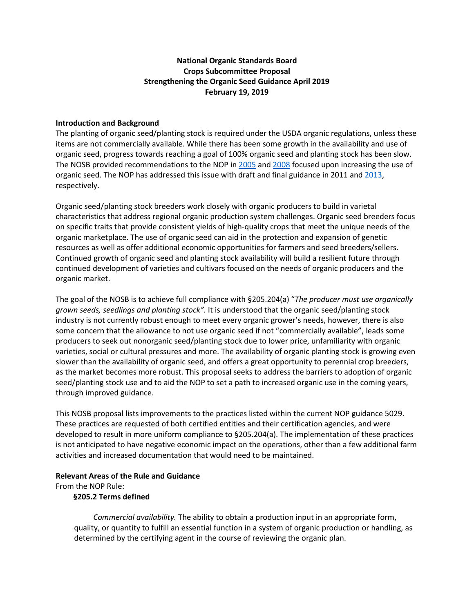## **National Organic Standards Board Crops Subcommittee Proposal Strengthening the Organic Seed Guidance April 2019 February 19, 2019**

#### **Introduction and Background**

The planting of organic seed/planting stock is required under the USDA organic regulations, unless these items are not commercially available. While there has been some growth in the availability and use of organic seed, progress towards reaching a goal of 100% organic seed and planting stock has been slow. The NOSB provided recommendations to the NOP i[n 2005](https://www.ams.usda.gov/sites/default/files/media/NOP%20Rec%20Commercial%20Availability%20of%20Organic%20Seed.pdf) an[d 2008](https://www.ams.usda.gov/sites/default/files/media/NOP%20Final%20Rec%20Seed%20Commercial%20Availability.pdf) focused upon increasing the use of organic seed. The NOP has addressed this issue with draft and final guidance in 2011 and [2013,](https://www.ams.usda.gov/sites/default/files/media/5029.pdf) respectively.

Organic seed/planting stock breeders work closely with organic producers to build in varietal characteristics that address regional organic production system challenges. Organic seed breeders focus on specific traits that provide consistent yields of high-quality crops that meet the unique needs of the organic marketplace. The use of organic seed can aid in the protection and expansion of genetic resources as well as offer additional economic opportunities for farmers and seed breeders/sellers. Continued growth of organic seed and planting stock availability will build a resilient future through continued development of varieties and cultivars focused on the needs of organic producers and the organic market.

The goal of the NOSB is to achieve full compliance with §205.204(a) "*The producer must use organically grown seeds, seedlings and planting stock".* It is understood that the organic seed/planting stock industry is not currently robust enough to meet every organic grower's needs, however, there is also some concern that the allowance to not use organic seed if not "commercially available", leads some producers to seek out nonorganic seed/planting stock due to lower price, unfamiliarity with organic varieties, social or cultural pressures and more. The availability of organic planting stock is growing even slower than the availability of organic seed, and offers a great opportunity to perennial crop breeders, as the market becomes more robust. This proposal seeks to address the barriers to adoption of organic seed/planting stock use and to aid the NOP to set a path to increased organic use in the coming years, through improved guidance.

This NOSB proposal lists improvements to the practices listed within the current NOP guidance 5029. These practices are requested of both certified entities and their certification agencies, and were developed to result in more uniform compliance to §205.204(a). The implementation of these practices is not anticipated to have negative economic impact on the operations, other than a few additional farm activities and increased documentation that would need to be maintained.

#### **Relevant Areas of the Rule and Guidance**

From the NOP Rule:

#### **§205.2 Terms defined**

*Commercial availability.* The ability to obtain a production input in an appropriate form, quality, or quantity to fulfill an essential function in a system of organic production or handling, as determined by the certifying agent in the course of reviewing the organic plan.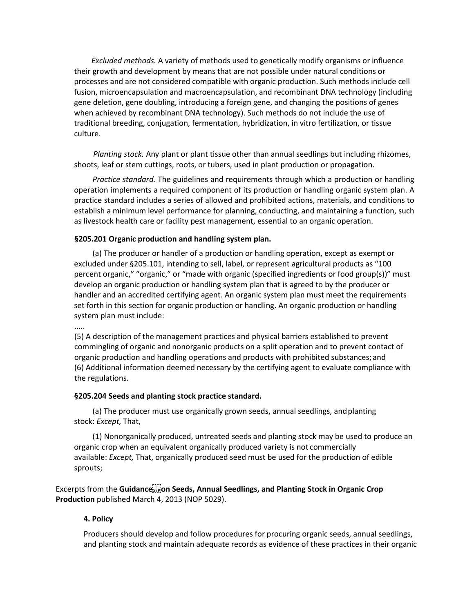*Excluded methods.* A variety of methods used to genetically modify organisms or influence their growth and development by means that are not possible under natural conditions or processes and are not considered compatible with organic production. Such methods include cell fusion, microencapsulation and macroencapsulation, and recombinant DNA technology (including gene deletion, gene doubling, introducing a foreign gene, and changing the positions of genes when achieved by recombinant DNA technology). Such methods do not include the use of traditional breeding, conjugation, fermentation, hybridization, in vitro fertilization, or tissue culture.

*Planting stock.* Any plant or plant tissue other than annual seedlings but including rhizomes, shoots, leaf or stem cuttings, roots, or tubers, used in plant production or propagation.

*Practice standard.* The guidelines and requirements through which a production or handling operation implements a required component of its production or handling organic system plan. A practice standard includes a series of allowed and prohibited actions, materials, and conditions to establish a minimum level performance for planning, conducting, and maintaining a function, such as livestock health care or facility pest management, essential to an organic operation.

#### **§205.201 Organic production and handling system plan.**

(a) The producer or handler of a production or handling operation, except as exempt or excluded under §205.101, intending to sell, label, or represent agricultural products as "100 percent organic," "organic," or "made with organic (specified ingredients or food group(s))" must develop an organic production or handling system plan that is agreed to by the producer or handler and an accredited certifying agent. An organic system plan must meet the requirements set forth in this section for organic production or handling. An organic production or handling system plan must include:

.....

(5) A description of the management practices and physical barriers established to prevent commingling of organic and nonorganic products on a split operation and to prevent contact of organic production and handling operations and products with prohibited substances; and (6) Additional information deemed necessary by the certifying agent to evaluate compliance with the regulations.

#### **§205.204 Seeds and planting stock practice standard.**

(a) The producer must use organically grown seeds, annual seedlings, andplanting stock: *Except,* That,

(1) Nonorganically produced, untreated seeds and planting stock may be used to produce an organic crop when an equivalent organically produced variety is not commercially available: *Except,* That, organically produced seed must be used for the production of edible sprouts;

Excerpts from the **Guidance**<sup>[17]</sup> on Seeds, Annual Seedlings, and Planting Stock in Organic Crop **Production** published March 4, 2013 (NOP 5029).

## **4. Policy**

Producers should develop and follow procedures for procuring organic seeds, annual seedlings, and planting stock and maintain adequate records as evidence of these practices in their organic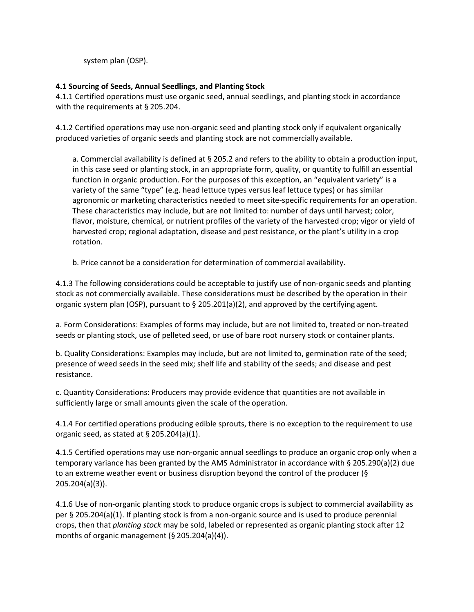system plan (OSP).

## **4.1 Sourcing of Seeds, Annual Seedlings, and Planting Stock**

4.1.1 Certified operations must use organic seed, annual seedlings, and planting stock in accordance with the requirements at § 205.204.

4.1.2 Certified operations may use non-organic seed and planting stock only if equivalent organically produced varieties of organic seeds and planting stock are not commercially available.

a. Commercial availability is defined at § 205.2 and refers to the ability to obtain a production input, in this case seed or planting stock, in an appropriate form, quality, or quantity to fulfill an essential function in organic production. For the purposes of this exception, an "equivalent variety" is a variety of the same "type" (e.g. head lettuce types versus leaf lettuce types) or has similar agronomic or marketing characteristics needed to meet site-specific requirements for an operation. These characteristics may include, but are not limited to: number of days until harvest; color, flavor, moisture, chemical, or nutrient profiles of the variety of the harvested crop; vigor or yield of harvested crop; regional adaptation, disease and pest resistance, or the plant's utility in a crop rotation.

b. Price cannot be a consideration for determination of commercial availability.

4.1.3 The following considerations could be acceptable to justify use of non-organic seeds and planting stock as not commercially available. These considerations must be described by the operation in their organic system plan (OSP), pursuant to § 205.201(a)(2), and approved by the certifying agent.

a. Form Considerations: Examples of forms may include, but are not limited to, treated or non-treated seeds or planting stock, use of pelleted seed, or use of bare root nursery stock or containerplants.

b. Quality Considerations: Examples may include, but are not limited to, germination rate of the seed; presence of weed seeds in the seed mix; shelf life and stability of the seeds; and disease and pest resistance.

c. Quantity Considerations: Producers may provide evidence that quantities are not available in sufficiently large or small amounts given the scale of the operation.

4.1.4 For certified operations producing edible sprouts, there is no exception to the requirement to use organic seed, as stated at § 205.204(a)(1).

4.1.5 Certified operations may use non-organic annual seedlings to produce an organic crop only when a temporary variance has been granted by the AMS Administrator in accordance with § 205.290(a)(2) due to an extreme weather event or business disruption beyond the control of the producer (§ 205.204(a)(3)).

4.1.6 Use of non-organic planting stock to produce organic crops is subject to commercial availability as per § 205.204(a)(1). If planting stock is from a non-organic source and is used to produce perennial crops, then that *planting stock* may be sold, labeled or represented as organic planting stock after 12 months of organic management (§ 205.204(a)(4)).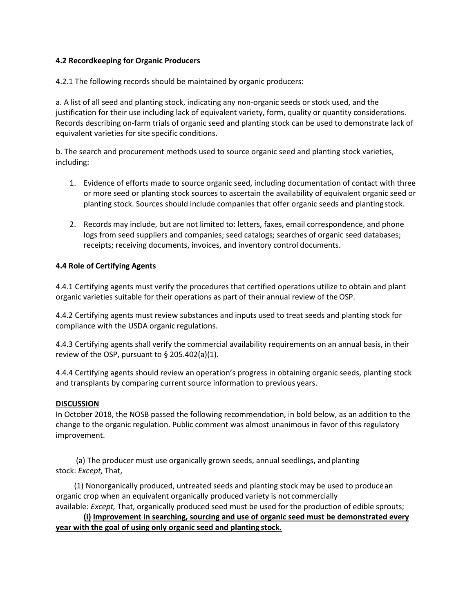## **4.2 Recordkeeping for Organic Producers**

4.2.1 The following records should be maintained by organic producers:

a. A list of all seed and planting stock, indicating any non-organic seeds or stock used, and the justification for their use including lack of equivalent variety, form, quality or quantity considerations. Records describing on-farm trials of organic seed and planting stock can be used to demonstrate lack of equivalent varieties for site specific conditions.

b. The search and procurement methods used to source organic seed and planting stock varieties, including:

- 1. Evidence of efforts made to source organic seed, including documentation of contact with three or more seed or planting stock sources to ascertain the availability of equivalent organic seed or planting stock. Sources should include companies that offer organic seeds and plantingstock.
- 2. Records may include, but are not limited to: letters, faxes, email correspondence, and phone logs from seed suppliers and companies; seed catalogs; searches of organic seed databases; receipts; receiving documents, invoices, and inventory control documents.

## **4.4 Role of Certifying Agents**

4.4.1 Certifying agents must verify the procedures that certified operations utilize to obtain and plant organic varieties suitable for their operations as part of their annual review of the OSP.

4.4.2 Certifying agents must review substances and inputs used to treat seeds and planting stock for compliance with the USDA organic regulations.

4.4.3 Certifying agents shall verify the commercial availability requirements on an annual basis, in their review of the OSP, pursuant to  $\S$  205.402(a)(1).

4.4.4 Certifying agents should review an operation's progress in obtaining organic seeds, planting stock and transplants by comparing current source information to previous years.

## **DISCUSSION**

In October 2018, the NOSB passed the following recommendation, in bold below, as an addition to the change to the organic regulation. Public comment was almost unanimous in favor of this regulatory improvement.

(a) The producer must use organically grown seeds, annual seedlings, andplanting stock: *Except,* That,

(1) Nonorganically produced, untreated seeds and planting stock may be used to producean organic crop when an equivalent organically produced variety is not commercially available: *Except,* That, organically produced seed must be used for the production of edible sprouts;

**(i) Improvement in searching, sourcing and use of organic seed must be demonstrated every year with the goal of using only organic seed and planting stock.**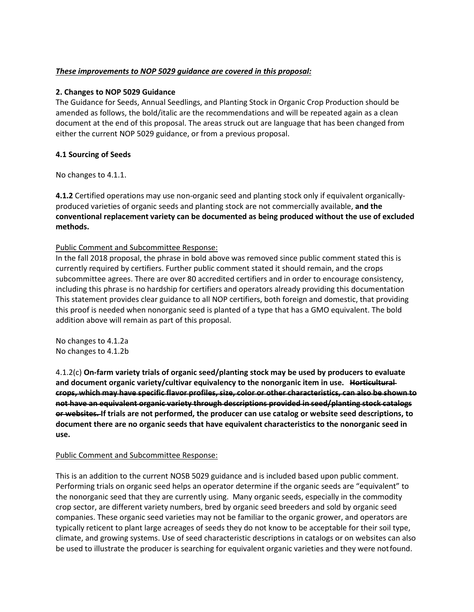## *These improvements to NOP 5029 guidance are covered in this proposal:*

#### **2. Changes to NOP 5029 Guidance**

The Guidance for Seeds, Annual Seedlings, and Planting Stock in Organic Crop Production should be amended as follows, the bold/italic are the recommendations and will be repeated again as a clean document at the end of this proposal. The areas struck out are language that has been changed from either the current NOP 5029 guidance, or from a previous proposal.

## **4.1 Sourcing of Seeds**

No changes to 4.1.1.

**4.1.2** Certified operations may use non-organic seed and planting stock only if equivalent organicallyproduced varieties of organic seeds and planting stock are not commercially available, **and the conventional replacement variety can be documented as being produced without the use of excluded methods.**

## Public Comment and Subcommittee Response:

In the fall 2018 proposal, the phrase in bold above was removed since public comment stated this is currently required by certifiers. Further public comment stated it should remain, and the crops subcommittee agrees. There are over 80 accredited certifiers and in order to encourage consistency, including this phrase is no hardship for certifiers and operators already providing this documentation This statement provides clear guidance to all NOP certifiers, both foreign and domestic, that providing this proof is needed when nonorganic seed is planted of a type that has a GMO equivalent. The bold addition above will remain as part of this proposal.

No changes to 4.1.2a No changes to 4.1.2b

4.1.2(c) **On-farm variety trials of organic seed/planting stock may be used by producers to evaluate and document organic variety/cultivar equivalency to the nonorganic item in use. Horticultural crops, which may have specific flavor profiles, size, color or other characteristics, can also be shown to not have an equivalent organic variety through descriptions provided in seed/planting stock catalogs or websites. If trials are not performed, the producer can use catalog or website seed descriptions, to document there are no organic seeds that have equivalent characteristics to the nonorganic seed in use.**

## Public Comment and Subcommittee Response:

This is an addition to the current NOSB 5029 guidance and is included based upon public comment. Performing trials on organic seed helps an operator determine if the organic seeds are "equivalent" to the nonorganic seed that they are currently using. Many organic seeds, especially in the commodity crop sector, are different variety numbers, bred by organic seed breeders and sold by organic seed companies. These organic seed varieties may not be familiar to the organic grower, and operators are typically reticent to plant large acreages of seeds they do not know to be acceptable for their soil type, climate, and growing systems. Use of seed characteristic descriptions in catalogs or on websites can also be used to illustrate the producer is searching for equivalent organic varieties and they were notfound.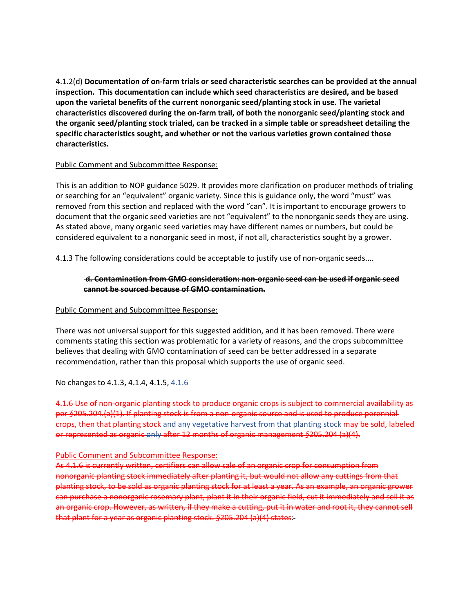4.1.2(d) **Documentation of on-farm trials or seed characteristic searches can be provided at the annual inspection. This documentation can include which seed characteristics are desired, and be based upon the varietal benefits of the current nonorganic seed/planting stock in use. The varietal characteristics discovered during the on-farm trail, of both the nonorganic seed/planting stock and the organic seed/planting stock trialed, can be tracked in a simple table or spreadsheet detailing the specific characteristics sought, and whether or not the various varieties grown contained those characteristics.**

#### Public Comment and Subcommittee Response:

This is an addition to NOP guidance 5029. It provides more clarification on producer methods of trialing or searching for an "equivalent" organic variety. Since this is guidance only, the word "must" was removed from this section and replaced with the word "can". It is important to encourage growers to document that the organic seed varieties are not "equivalent" to the nonorganic seeds they are using. As stated above, many organic seed varieties may have different names or numbers, but could be considered equivalent to a nonorganic seed in most, if not all, characteristics sought by a grower.

4.1.3 The following considerations could be acceptable to justify use of non-organic seeds....

## **d. Contamination from GMO consideration: non-organic seed can be used if organic seed cannot be sourced because of GMO contamination.**

#### Public Comment and Subcommittee Response:

There was not universal support for this suggested addition, and it has been removed. There were comments stating this section was problematic for a variety of reasons, and the crops subcommittee believes that dealing with GMO contamination of seed can be better addressed in a separate recommendation, rather than this proposal which supports the use of organic seed.

No changes to 4.1.3, 4.1.4, 4.1.5, 4.1.6

4.1.6 Use of non-organic planting stock to produce organic crops is subject to commercial availability as per *§*205.204.(a)(1). If planting stock is from a non-organic source and is used to produce perennial crops, then that planting stock and any vegetative harvest from that planting stock may be sold, labeled or represented as organic only after 12 months of organic management *§*205.204 (a)(4).

#### Public Comment and Subcommittee Response:

As 4.1.6 is currently written, certifiers can allow sale of an organic crop for consumption from nonorganic planting stock immediately after planting it, but would not allow any cuttings from that planting stock, to be sold as organic planting stock for at least a year. As an example, an organic grower can purchase a nonorganic rosemary plant, plant it in their organic field, cut it immediately and sell it as an organic crop. However, as written, if they make a cutting, put it in water and root it, they cannot sell that plant for a year as organic planting stock. *§*205.204 (a)(4) states: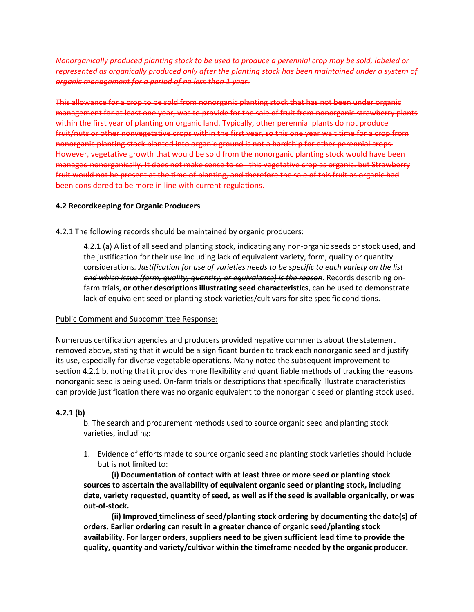*Nonorganically produced planting stock to be used to produce a perennial crop may be sold, labeled or represented as organically produced only after the planting stock has been maintained under a system of organic management for a period of no less than 1 year.*

This allowance for a crop to be sold from nonorganic planting stock that has not been under organic management for at least one year, was to provide for the sale of fruit from nonorganic strawberry plants within the first year of planting on organic land. Typically, other perennial plants do not produce fruit/nuts or other nonvegetative crops within the first year, so this one year wait time for a crop from nonorganic planting stock planted into organic ground is not a hardship for other perennial crops. However, vegetative growth that would be sold from the nonorganic planting stock would have been managed nonorganically. It does not make sense to sell this vegetative crop as organic. but Strawberry fruit would not be present at the time of planting, and therefore the sale of this fruit as organic had been considered to be more in line with current regulations.

## **4.2 Recordkeeping for Organic Producers**

4.2.1 The following records should be maintained by organic producers:

4.2.1 (a) A list of all seed and planting stock, indicating any non-organic seeds or stock used, and the justification for their use including lack of equivalent variety, form, quality or quantity considerations*. Justification for use of varieties needs to be specific to each variety on the list and which issue (form, quality, quantity, or equivalence) is the reason*. Records describing onfarm trials, **or other descriptions illustrating seed characteristics**, can be used to demonstrate lack of equivalent seed or planting stock varieties/cultivars for site specific conditions.

## Public Comment and Subcommittee Response:

Numerous certification agencies and producers provided negative comments about the statement removed above, stating that it would be a significant burden to track each nonorganic seed and justify its use, especially for diverse vegetable operations. Many noted the subsequent improvement to section 4.2.1 b, noting that it provides more flexibility and quantifiable methods of tracking the reasons nonorganic seed is being used. On-farm trials or descriptions that specifically illustrate characteristics can provide justification there was no organic equivalent to the nonorganic seed or planting stock used.

## **4.2.1 (b)**

b. The search and procurement methods used to source organic seed and planting stock varieties, including:

1. Evidence of efforts made to source organic seed and planting stock varieties should include but is not limited to:

**(i) Documentation of contact with at least three or more seed or planting stock sources to ascertain the availability of equivalent organic seed or planting stock, including date, variety requested, quantity of seed, as well as if the seed is available organically, or was out-of-stock.**

**(ii) Improved timeliness of seed/planting stock ordering by documenting the date(s) of orders. Earlier ordering can result in a greater chance of organic seed/planting stock availability. For larger orders, suppliers need to be given sufficient lead time to provide the quality, quantity and variety/cultivar within the timeframe needed by the organicproducer.**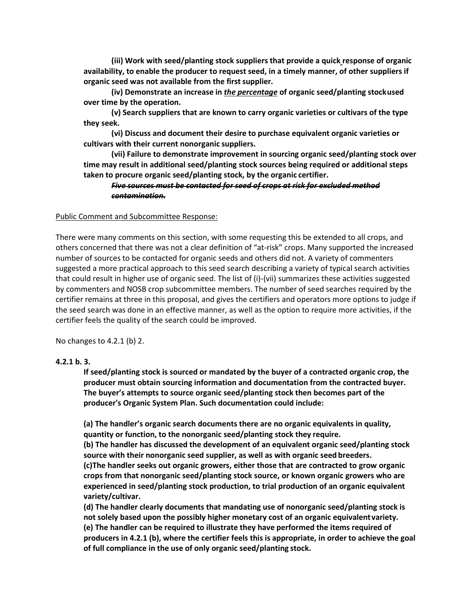**(iii) Work with seed/planting stock suppliers that provide a quick response of organic availability, to enable the producer to request seed, in a timely manner, of other suppliers if organic seed was not available from the firstsupplier.**

**(iv) Demonstrate an increase in** *the percentage* **of organic seed/planting stockused over time by the operation.**

**(v) Search suppliers that are known to carry organic varieties or cultivars of the type they seek.**

**(vi) Discuss and document their desire to purchase equivalent organic varieties or cultivars with their current nonorganic suppliers.**

**(vii) Failure to demonstrate improvement in sourcing organic seed/planting stock over time may result in additional seed/planting stock sources being required or additional steps taken to procure organic seed/planting stock, by the organic certifier.**

#### *Five sources must be contacted for seed of crops at risk for excluded method contamination.*

#### Public Comment and Subcommittee Response:

There were many comments on this section, with some requesting this be extended to all crops, and others concerned that there was not a clear definition of "at-risk" crops. Many supported the increased number of sources to be contacted for organic seeds and others did not. A variety of commenters suggested a more practical approach to this seed search describing a variety of typical search activities that could result in higher use of organic seed. The list of (i)-(vii) summarizes these activities suggested by commenters and NOSB crop subcommittee members. The number of seed searches required by the certifier remains at three in this proposal, and gives the certifiers and operators more options to judge if the seed search was done in an effective manner, as well as the option to require more activities, if the certifier feels the quality of the search could be improved.

No changes to 4.2.1 (b) 2.

#### **4.2.1 b. 3.**

**If seed/planting stock is sourced or mandated by the buyer of a contracted organic crop, the producer must obtain sourcing information and documentation from the contracted buyer. The buyer's attempts to source organic seed/planting stock then becomes part of the producer's Organic System Plan. Such documentation could include:**

**(a) The handler's organic search documents there are no organic equivalents in quality, quantity or function, to the nonorganic seed/planting stock they require.**

**(b) The handler has discussed the development of an equivalent organic seed/planting stock source with their nonorganic seed supplier, as well as with organic seed breeders.**

**(c)The handler seeks out organic growers, either those that are contracted to grow organic crops from that nonorganic seed/planting stock source, or known organic growers who are experienced in seed/planting stock production, to trial production of an organic equivalent variety/cultivar.**

**(d) The handler clearly documents that mandating use of nonorganic seed/planting stock is not solely based upon the possibly higher monetary cost of an organic equivalentvariety. (e) The handler can be required to illustrate they have performed the items required of producers in 4.2.1 (b), where the certifier feels this is appropriate, in order to achieve the goal of full compliance in the use of only organic seed/planting stock.**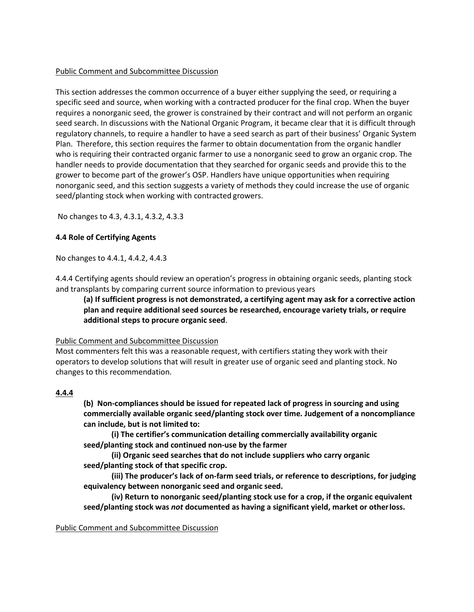### Public Comment and Subcommittee Discussion

This section addresses the common occurrence of a buyer either supplying the seed, or requiring a specific seed and source, when working with a contracted producer for the final crop. When the buyer requires a nonorganic seed, the grower is constrained by their contract and will not perform an organic seed search. In discussions with the National Organic Program, it became clear that it is difficult through regulatory channels, to require a handler to have a seed search as part of their business' Organic System Plan. Therefore, this section requires the farmer to obtain documentation from the organic handler who is requiring their contracted organic farmer to use a nonorganic seed to grow an organic crop. The handler needs to provide documentation that they searched for organic seeds and provide this to the grower to become part of the grower's OSP. Handlers have unique opportunities when requiring nonorganic seed, and this section suggests a variety of methods they could increase the use of organic seed/planting stock when working with contracted growers.

No changes to 4.3, 4.3.1, 4.3.2, 4.3.3

#### **4.4 Role of Certifying Agents**

No changes to 4.4.1, 4.4.2, 4.4.3

4.4.4 Certifying agents should review an operation's progress in obtaining organic seeds, planting stock and transplants by comparing current source information to previous years

**(a) If sufficient progress is not demonstrated, a certifying agent may ask for a corrective action plan and require additional seed sources be researched, encourage variety trials, or require additional steps to procure organic seed**.

## Public Comment and Subcommittee Discussion

Most commenters felt this was a reasonable request, with certifiers stating they work with their operators to develop solutions that will result in greater use of organic seed and planting stock. No changes to this recommendation.

## **4.4.4**

**(b) Non-compliances should be issued for repeated lack of progress in sourcing and using commercially available organic seed/planting stock over time. Judgement of a noncompliance can include, but is not limited to:**

**(i) The certifier's communication detailing commercially availability organic seed/planting stock and continued non-use by the farmer**

**(ii) Organic seed searches that do not include suppliers who carry organic seed/planting stock of that specific crop.**

**(iii) The producer's lack of on-farm seed trials, or reference to descriptions, for judging equivalency between nonorganic seed and organic seed.**

**(iv) Return to nonorganic seed/planting stock use for a crop, if the organic equivalent seed/planting stock was** *not* **documented as having a significant yield, market or otherloss.**

#### Public Comment and Subcommittee Discussion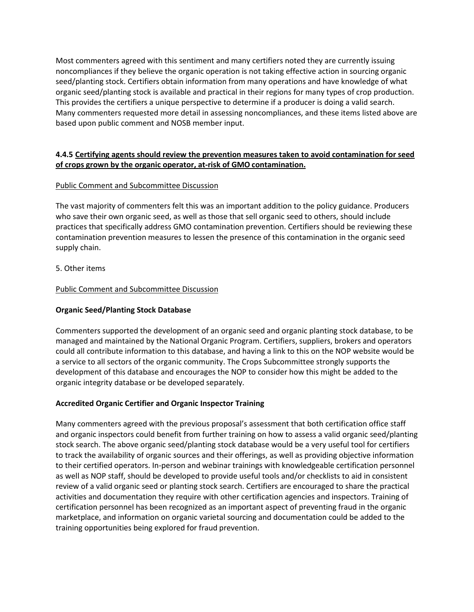Most commenters agreed with this sentiment and many certifiers noted they are currently issuing noncompliances if they believe the organic operation is not taking effective action in sourcing organic seed/planting stock. Certifiers obtain information from many operations and have knowledge of what organic seed/planting stock is available and practical in their regions for many types of crop production. This provides the certifiers a unique perspective to determine if a producer is doing a valid search. Many commenters requested more detail in assessing noncompliances, and these items listed above are based upon public comment and NOSB member input.

## **4.4.5 Certifying agents should review the prevention measures taken to avoid contamination for seed of crops grown by the organic operator, at-risk of GMO contamination.**

## Public Comment and Subcommittee Discussion

The vast majority of commenters felt this was an important addition to the policy guidance. Producers who save their own organic seed, as well as those that sell organic seed to others, should include practices that specifically address GMO contamination prevention. Certifiers should be reviewing these contamination prevention measures to lessen the presence of this contamination in the organic seed supply chain.

5. Other items

## Public Comment and Subcommittee Discussion

## **Organic Seed/Planting Stock Database**

Commenters supported the development of an organic seed and organic planting stock database, to be managed and maintained by the National Organic Program. Certifiers, suppliers, brokers and operators could all contribute information to this database, and having a link to this on the NOP website would be a service to all sectors of the organic community. The Crops Subcommittee strongly supports the development of this database and encourages the NOP to consider how this might be added to the organic integrity database or be developed separately.

## **Accredited Organic Certifier and Organic Inspector Training**

Many commenters agreed with the previous proposal's assessment that both certification office staff and organic inspectors could benefit from further training on how to assess a valid organic seed/planting stock search. The above organic seed/planting stock database would be a very useful tool for certifiers to track the availability of organic sources and their offerings, as well as providing objective information to their certified operators. In-person and webinar trainings with knowledgeable certification personnel as well as NOP staff, should be developed to provide useful tools and/or checklists to aid in consistent review of a valid organic seed or planting stock search. Certifiers are encouraged to share the practical activities and documentation they require with other certification agencies and inspectors. Training of certification personnel has been recognized as an important aspect of preventing fraud in the organic marketplace, and information on organic varietal sourcing and documentation could be added to the training opportunities being explored for fraud prevention.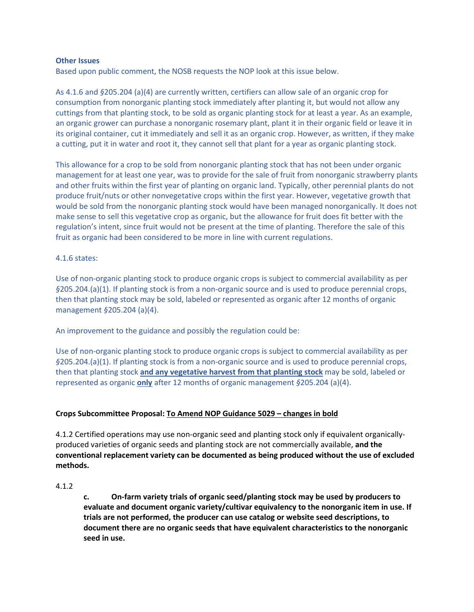#### **Other Issues**

Based upon public comment, the NOSB requests the NOP look at this issue below.

As 4.1.6 and *§*205.204 (a)(4) are currently written, certifiers can allow sale of an organic crop for consumption from nonorganic planting stock immediately after planting it, but would not allow any cuttings from that planting stock, to be sold as organic planting stock for at least a year. As an example, an organic grower can purchase a nonorganic rosemary plant, plant it in their organic field or leave it in its original container, cut it immediately and sell it as an organic crop. However, as written, if they make a cutting, put it in water and root it, they cannot sell that plant for a year as organic planting stock.

This allowance for a crop to be sold from nonorganic planting stock that has not been under organic management for at least one year, was to provide for the sale of fruit from nonorganic strawberry plants and other fruits within the first year of planting on organic land. Typically, other perennial plants do not produce fruit/nuts or other nonvegetative crops within the first year. However, vegetative growth that would be sold from the nonorganic planting stock would have been managed nonorganically. It does not make sense to sell this vegetative crop as organic, but the allowance for fruit does fit better with the regulation's intent, since fruit would not be present at the time of planting. Therefore the sale of this fruit as organic had been considered to be more in line with current regulations.

#### 4.1.6 states:

Use of non-organic planting stock to produce organic crops is subject to commercial availability as per *§*205.204.(a)(1). If planting stock is from a non-organic source and is used to produce perennial crops, then that planting stock may be sold, labeled or represented as organic after 12 months of organic management *§*205.204 (a)(4).

An improvement to the guidance and possibly the regulation could be:

Use of non-organic planting stock to produce organic crops is subject to commercial availability as per *§*205.204.(a)(1). If planting stock is from a non-organic source and is used to produce perennial crops, then that planting stock **and any vegetative harvest from that planting stock** may be sold, labeled or represented as organic **only** after 12 months of organic management *§*205.204 (a)(4).

## **Crops Subcommittee Proposal: To Amend NOP Guidance 5029 – changes in bold**

4.1.2 Certified operations may use non-organic seed and planting stock only if equivalent organicallyproduced varieties of organic seeds and planting stock are not commercially available, **and the conventional replacement variety can be documented as being produced without the use of excluded methods.**

#### 4.1.2

**c. On-farm variety trials of organic seed/planting stock may be used by producers to evaluate and document organic variety/cultivar equivalency to the nonorganic item in use. If trials are not performed, the producer can use catalog or website seed descriptions, to document there are no organic seeds that have equivalent characteristics to the nonorganic seed in use.**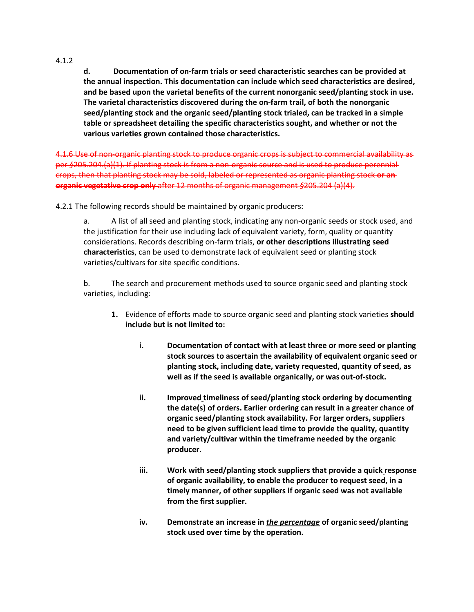4.1.2

**d. Documentation of on-farm trials or seed characteristic searches can be provided at the annual inspection. This documentation can include which seed characteristics are desired, and be based upon the varietal benefits of the current nonorganic seed/planting stock in use. The varietal characteristics discovered during the on-farm trail, of both the nonorganic seed/planting stock and the organic seed/planting stock trialed, can be tracked in a simple table or spreadsheet detailing the specific characteristics sought, and whether or not the various varieties grown contained those characteristics.**

4.1.6 Use of non-organic planting stock to produce organic crops is subject to commercial availability as per *§*205.204.(a)(1). If planting stock is from a non-organic source and is used to produce perennial crops, then that planting stock may be sold, labeled or represented as organic planting stock **or an organic vegetative crop only** after 12 months of organic management *§*205.204 (a)(4).

4.2.1 The following records should be maintained by organic producers:

a. A list of all seed and planting stock, indicating any non-organic seeds or stock used, and the justification for their use including lack of equivalent variety, form, quality or quantity considerations. Records describing on-farm trials, **or other descriptions illustrating seed characteristics**, can be used to demonstrate lack of equivalent seed or planting stock varieties/cultivars for site specific conditions.

b. The search and procurement methods used to source organic seed and planting stock varieties, including:

- **1.** Evidence of efforts made to source organic seed and planting stock varieties **should include but is not limited to:**
	- **i. Documentation of contact with at least three or more seed or planting stock sources to ascertain the availability of equivalent organic seed or planting stock, including date, variety requested, quantity of seed, as well as if the seed is available organically, or was out-of-stock.**
	- **ii. Improved timeliness of seed/planting stock ordering by documenting the date(s) of orders. Earlier ordering can result in a greater chance of organic seed/planting stock availability. For larger orders, suppliers need to be given sufficient lead time to provide the quality, quantity and variety/cultivar within the timeframe needed by the organic producer.**
	- **iii. Work with seed/planting stock suppliers that provide a quick response of organic availability, to enable the producer to request seed, in a timely manner, of other suppliers if organic seed was not available from the first supplier.**
	- **iv. Demonstrate an increase in** *the percentage* **of organic seed/planting stock used over time by the operation.**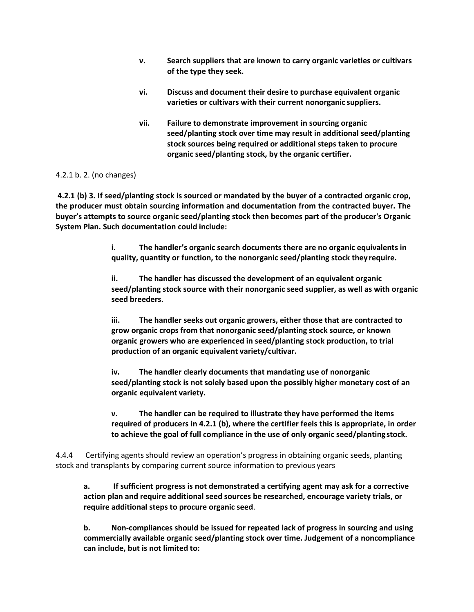- **v. Search suppliers that are known to carry organic varieties or cultivars of the type they seek.**
- **vi. Discuss and document their desire to purchase equivalent organic varieties or cultivars with their current nonorganic suppliers.**
- **vii. Failure to demonstrate improvement in sourcing organic seed/planting stock over time may result in additional seed/planting stock sources being required or additional steps taken to procure organic seed/planting stock, by the organic certifier.**

## 4.2.1 b. 2. (no changes)

**4.2.1 (b) 3. If seed/planting stock is sourced or mandated by the buyer of a contracted organic crop, the producer must obtain sourcing information and documentation from the contracted buyer. The buyer's attempts to source organic seed/planting stock then becomes part of the producer's Organic System Plan. Such documentation could include:**

> **i. The handler's organic search documents there are no organic equivalents in quality, quantity or function, to the nonorganic seed/planting stock they require.**

**ii. The handler has discussed the development of an equivalent organic seed/planting stock source with their nonorganic seed supplier, as well as with organic seed breeders.**

**iii. The handler seeks out organic growers, either those that are contracted to grow organic crops from that nonorganic seed/planting stock source, or known organic growers who are experienced in seed/planting stock production, to trial production of an organic equivalent variety/cultivar.**

**iv. The handler clearly documents that mandating use of nonorganic seed/planting stock is not solely based upon the possibly higher monetary cost of an organic equivalent variety.**

**v. The handler can be required to illustrate they have performed the items required of producers in 4.2.1 (b), where the certifier feels this is appropriate, in order to achieve the goal of full compliance in the use of only organic seed/plantingstock.**

4.4.4 Certifying agents should review an operation's progress in obtaining organic seeds, planting stock and transplants by comparing current source information to previous years

**a. If sufficient progress is not demonstrated a certifying agent may ask for a corrective action plan and require additional seed sources be researched, encourage variety trials, or require additional steps to procure organic seed**.

**b. Non-compliances should be issued for repeated lack of progress in sourcing and using commercially available organic seed/planting stock over time. Judgement of a noncompliance can include, but is not limited to:**